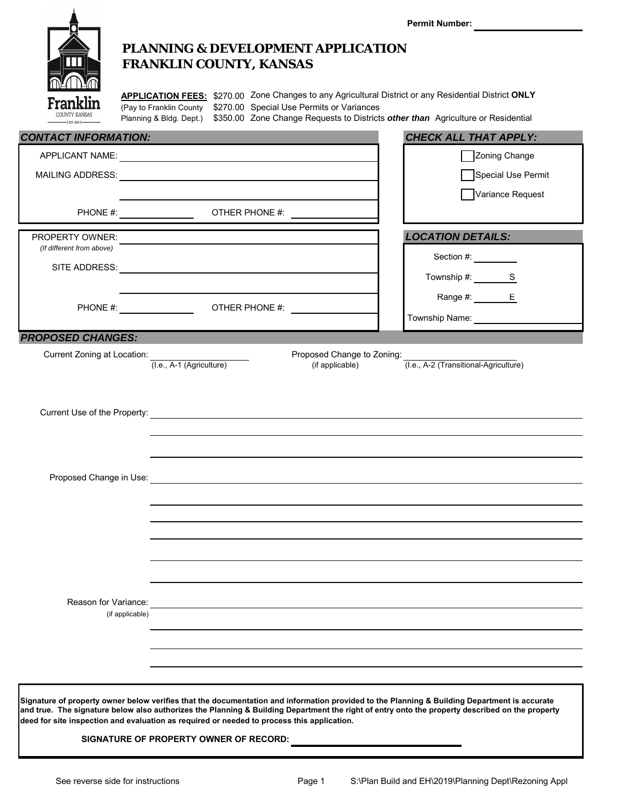|                             |                                                                                                                                                                                                                                                                                                                                                                                                                                         | <b>Permit Number:</b>                 |
|-----------------------------|-----------------------------------------------------------------------------------------------------------------------------------------------------------------------------------------------------------------------------------------------------------------------------------------------------------------------------------------------------------------------------------------------------------------------------------------|---------------------------------------|
|                             | <b>PLANNING &amp; DEVELOPMENT APPLICATION</b><br><b>FRANKLIN COUNTY, KANSAS</b>                                                                                                                                                                                                                                                                                                                                                         |                                       |
| Franklir                    | APPLICATION FEES: \$270.00 Zone Changes to any Agricultural District or any Residential District ONLY<br>(Pay to Franklin County \$270.00 Special Use Permits or Variances<br>Planning & Bldg. Dept.) \$350.00 Zone Change Requests to Districts other than Agriculture or Residential                                                                                                                                                  |                                       |
| <b>CONTACT INFORMATION:</b> |                                                                                                                                                                                                                                                                                                                                                                                                                                         | <b>CHECK ALL THAT APPLY:</b>          |
|                             |                                                                                                                                                                                                                                                                                                                                                                                                                                         | Zoning Change                         |
|                             | APPLICANT NAME: NAME AND A SERIES AND A SERIES OF A SERIES OF A SERIES OF A SERIES OF A SERIES OF A SERIES OF A SERIES OF A SERIES OF A SERIES OF A SERIES OF A SERIES OF A SERIES OF A SERIES OF A SERIES OF A SERIES OF A SE                                                                                                                                                                                                          | Special Use Permit                    |
|                             |                                                                                                                                                                                                                                                                                                                                                                                                                                         | Variance Request                      |
|                             |                                                                                                                                                                                                                                                                                                                                                                                                                                         |                                       |
| PROPERTY OWNER:             |                                                                                                                                                                                                                                                                                                                                                                                                                                         | <b>LOCATION DETAILS:</b>              |
| (If different from above)   |                                                                                                                                                                                                                                                                                                                                                                                                                                         | Section #:                            |
|                             |                                                                                                                                                                                                                                                                                                                                                                                                                                         | Township #: S                         |
|                             |                                                                                                                                                                                                                                                                                                                                                                                                                                         | Range #: E                            |
|                             |                                                                                                                                                                                                                                                                                                                                                                                                                                         | Township Name:                        |
| <b>PROPOSED CHANGES:</b>    |                                                                                                                                                                                                                                                                                                                                                                                                                                         |                                       |
| Current Zoning at Location: | Proposed Change to Zoning:<br>(I.e., A-1 (Agriculture)<br>(if applicable)<br>Current Use of the Property: <u>Communication of the Property of Australian Communications</u>                                                                                                                                                                                                                                                             | (I.e., A-2 (Transitional-Agriculture) |
|                             | Proposed Change in Use: Note that the state of the state of the state of the state of the state of the state of the state of the state of the state of the state of the state of the state of the state of the state of the st                                                                                                                                                                                                          |                                       |
|                             |                                                                                                                                                                                                                                                                                                                                                                                                                                         |                                       |
|                             |                                                                                                                                                                                                                                                                                                                                                                                                                                         |                                       |
|                             |                                                                                                                                                                                                                                                                                                                                                                                                                                         |                                       |
|                             |                                                                                                                                                                                                                                                                                                                                                                                                                                         |                                       |
|                             |                                                                                                                                                                                                                                                                                                                                                                                                                                         |                                       |
| Reason for Variance:        |                                                                                                                                                                                                                                                                                                                                                                                                                                         |                                       |
|                             | (if applicable)                                                                                                                                                                                                                                                                                                                                                                                                                         |                                       |
|                             |                                                                                                                                                                                                                                                                                                                                                                                                                                         |                                       |
|                             |                                                                                                                                                                                                                                                                                                                                                                                                                                         |                                       |
|                             |                                                                                                                                                                                                                                                                                                                                                                                                                                         |                                       |
|                             | Signature of property owner below verifies that the documentation and information provided to the Planning & Building Department is accurate<br>and true. The signature below also authorizes the Planning & Building Department the right of entry onto the property described on the property<br>deed for site inspection and evaluation as required or needed to process this application.<br>SIGNATURE OF PROPERTY OWNER OF RECORD: |                                       |